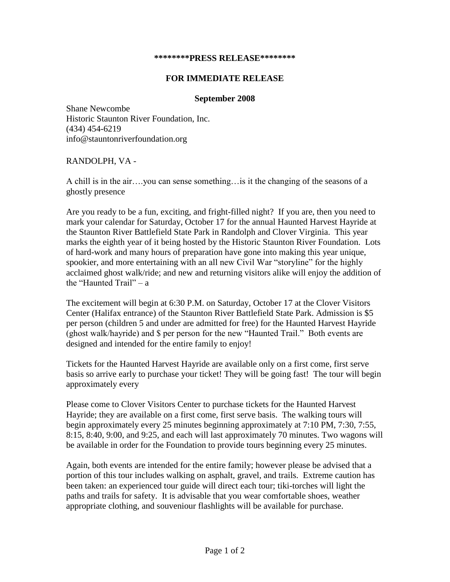## **\*\*\*\*\*\*\*\*PRESS RELEASE\*\*\*\*\*\*\*\***

## **FOR IMMEDIATE RELEASE**

## **September 2008**

Shane Newcombe Historic Staunton River Foundation, Inc. (434) 454-6219 info@stauntonriverfoundation.org

## RANDOLPH, VA -

A chill is in the air….you can sense something…is it the changing of the seasons of a ghostly presence

Are you ready to be a fun, exciting, and fright-filled night? If you are, then you need to mark your calendar for Saturday, October 17 for the annual Haunted Harvest Hayride at the Staunton River Battlefield State Park in Randolph and Clover Virginia. This year marks the eighth year of it being hosted by the Historic Staunton River Foundation. Lots of hard-work and many hours of preparation have gone into making this year unique, spookier, and more entertaining with an all new Civil War "storyline" for the highly acclaimed ghost walk/ride; and new and returning visitors alike will enjoy the addition of the "Haunted Trail" – a

The excitement will begin at 6:30 P.M. on Saturday, October 17 at the Clover Visitors Center (Halifax entrance) of the Staunton River Battlefield State Park. Admission is \$5 per person (children 5 and under are admitted for free) for the Haunted Harvest Hayride (ghost walk/hayride) and \$ per person for the new "Haunted Trail." Both events are designed and intended for the entire family to enjoy!

Tickets for the Haunted Harvest Hayride are available only on a first come, first serve basis so arrive early to purchase your ticket! They will be going fast! The tour will begin approximately every

Please come to Clover Visitors Center to purchase tickets for the Haunted Harvest Hayride; they are available on a first come, first serve basis. The walking tours will begin approximately every 25 minutes beginning approximately at 7:10 PM, 7:30, 7:55, 8:15, 8:40, 9:00, and 9:25, and each will last approximately 70 minutes. Two wagons will be available in order for the Foundation to provide tours beginning every 25 minutes.

Again, both events are intended for the entire family; however please be advised that a portion of this tour includes walking on asphalt, gravel, and trails. Extreme caution has been taken: an experienced tour guide will direct each tour; tiki-torches will light the paths and trails for safety. It is advisable that you wear comfortable shoes, weather appropriate clothing, and souveniour flashlights will be available for purchase.